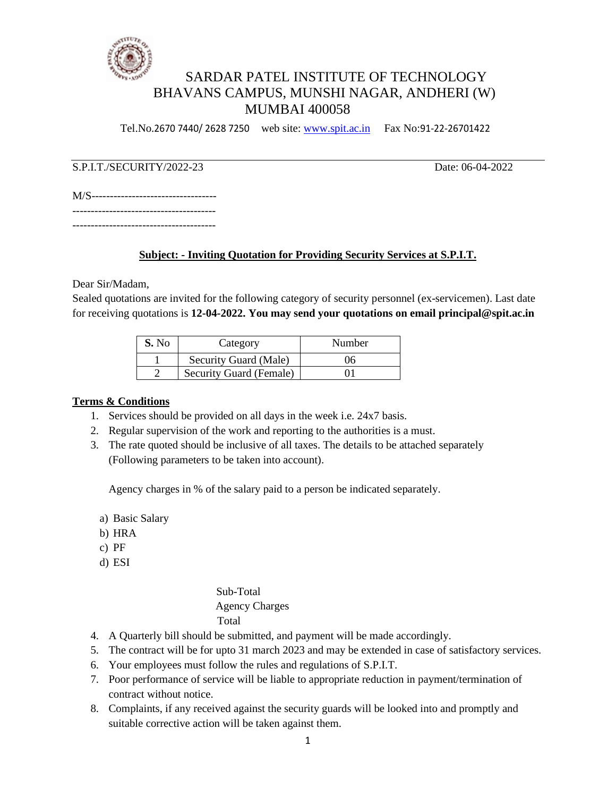

# SARDAR PATEL INSTITUTE OF TECHNOLOGY BHAVANS CAMPUS, MUNSHI NAGAR, ANDHERI (W) MUMBAI 400058

Tel.No.2670 7440/ 2628 7250 web site: [www.spit.ac.in](http://www.spit.ac.in/) Fax No:91-22-26701422

# S.P.I.T./SECURITY/2022-23 Date: 06-04-2022

| M/S----------------------------------- |  |
|----------------------------------------|--|
| ------------------                     |  |

---------------------------------------

# **Subject: - Inviting Quotation for Providing Security Services at S.P.I.T.**

Dear Sir/Madam,

Sealed quotations are invited for the following category of security personnel (ex-servicemen). Last date for receiving quotations is **12-04-2022. You may send your quotations on email principal@spit.ac.in**

| S. No | Category                | Number |
|-------|-------------------------|--------|
|       | Security Guard (Male)   | 06     |
|       | Security Guard (Female) |        |

#### **Terms & Conditions**

- 1. Services should be provided on all days in the week i.e. 24x7 basis.
- 2. Regular supervision of the work and reporting to the authorities is a must.
- 3. The rate quoted should be inclusive of all taxes. The details to be attached separately (Following parameters to be taken into account).

Agency charges in % of the salary paid to a person be indicated separately.

- a) Basic Salary
- b) HRA
- c) PF
- d) ESI

 Sub-Total Agency Charges Total

- 4. A Quarterly bill should be submitted, and payment will be made accordingly.
- 5. The contract will be for upto 31 march 2023 and may be extended in case of satisfactory services.
- 6. Your employees must follow the rules and regulations of S.P.I.T.
- 7. Poor performance of service will be liable to appropriate reduction in payment/termination of contract without notice.
- 8. Complaints, if any received against the security guards will be looked into and promptly and suitable corrective action will be taken against them.